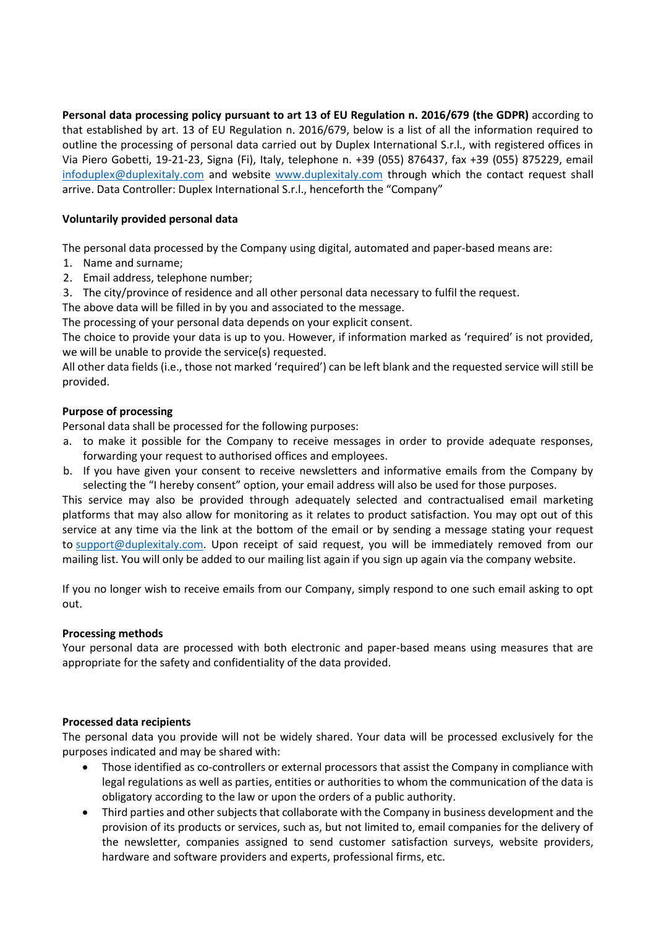**Personal data processing policy pursuant to art 13 of EU Regulation n. 2016/679 (the GDPR)** according to that established by art. 13 of EU Regulation n. 2016/679, below is a list of all the information required to outline the processing of personal data carried out by Duplex International S.r.l., with registered offices in Via Piero Gobetti, 19-21-23, Signa (Fi), Italy, telephone n. +39 (055) 876437, fax +39 (055) 875229, email [infoduplex@duplexitaly.com](mailto:infoduplex@duplexitaly.com) and website [www.duplexitaly.com](http://www.duplexitaly.com/) through which the contact request shall arrive. Data Controller: Duplex International S.r.l., henceforth the "Company"

# **Voluntarily provided personal data**

The personal data processed by the Company using digital, automated and paper-based means are:

- 1. Name and surname;
- 2. Email address, telephone number;
- 3. The city/province of residence and all other personal data necessary to fulfil the request.

The above data will be filled in by you and associated to the message.

The processing of your personal data depends on your explicit consent.

The choice to provide your data is up to you. However, if information marked as 'required' is not provided, we will be unable to provide the service(s) requested.

All other data fields (i.e., those not marked 'required') can be left blank and the requested service will still be provided.

## **Purpose of processing**

Personal data shall be processed for the following purposes:

- a. to make it possible for the Company to receive messages in order to provide adequate responses, forwarding your request to authorised offices and employees.
- b. If you have given your consent to receive newsletters and informative emails from the Company by selecting the "I hereby consent" option, your email address will also be used for those purposes.

This service may also be provided through adequately selected and contractualised email marketing platforms that may also allow for monitoring as it relates to product satisfaction. You may opt out of this service at any time via the link at the bottom of the email or by sending a message stating your request to [support@duplexitaly.com.](mailto:support@duplexitaly.com) Upon receipt of said request, you will be immediately removed from our mailing list. You will only be added to our mailing list again if you sign up again via the company website.

If you no longer wish to receive emails from our Company, simply respond to one such email asking to opt out.

## **Processing methods**

Your personal data are processed with both electronic and paper-based means using measures that are appropriate for the safety and confidentiality of the data provided.

## **Processed data recipients**

The personal data you provide will not be widely shared. Your data will be processed exclusively for the purposes indicated and may be shared with:

- Those identified as co-controllers or external processors that assist the Company in compliance with legal regulations as well as parties, entities or authorities to whom the communication of the data is obligatory according to the law or upon the orders of a public authority.
- Third parties and other subjects that collaborate with the Company in business development and the provision of its products or services, such as, but not limited to, email companies for the delivery of the newsletter, companies assigned to send customer satisfaction surveys, website providers, hardware and software providers and experts, professional firms, etc.